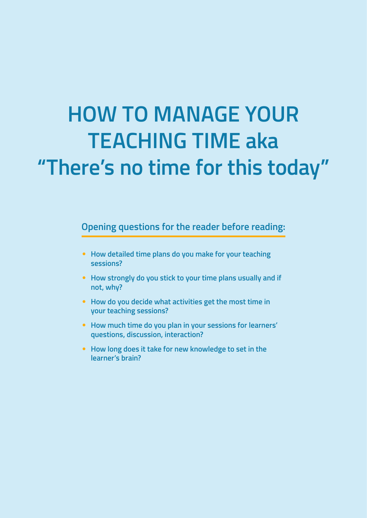# **HOW TO MANAGE YOUR TEACHING TIME aka "There's no time for this today"**

**Opening questions for the reader before reading:**

- **How detailed time plans do you make for your teaching sessions?**
- **How strongly do you stick to your time plans usually and if not, why?**
- **How do you decide what activities get the most time in your teaching sessions?**
- **How much time do you plan in your sessions for learners' questions, discussion, interaction?**
- **How long does it take for new knowledge to set in the learner's brain?**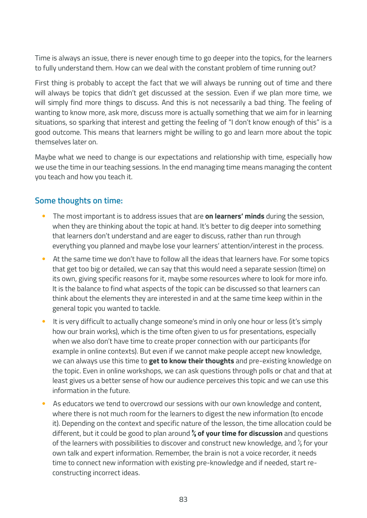Time is always an issue, there is never enough time to go deeper into the topics, for the learners to fully understand them. How can we deal with the constant problem of time running out?

First thing is probably to accept the fact that we will always be running out of time and there will always be topics that didn't get discussed at the session. Even if we plan more time, we will simply find more things to discuss. And this is not necessarily a bad thing. The feeling of wanting to know more, ask more, discuss more is actually something that we aim for in learning situations, so sparking that interest and getting the feeling of "I don't know enough of this" is a good outcome. This means that learners might be willing to go and learn more about the topic themselves later on.

Maybe what we need to change is our expectations and relationship with time, especially how we use the time in our teaching sessions. In the end managing time means managing the content you teach and how you teach it.

#### **Some thoughts on time:**

- The most important is to address issues that are **on learners' minds** during the session, when they are thinking about the topic at hand. It's better to dig deeper into something that learners don't understand and are eager to discuss, rather than run through everything you planned and maybe lose your learners' attention/interest in the process.
- At the same time we don't have to follow all the ideas that learners have. For some topics that get too big or detailed, we can say that this would need a separate session (time) on its own, giving specific reasons for it, maybe some resources where to look for more info. It is the balance to find what aspects of the topic can be discussed so that learners can think about the elements they are interested in and at the same time keep within in the general topic you wanted to tackle.
- It is very difficult to actually change someone's mind in only one hour or less (it's simply how our brain works), which is the time often given to us for presentations, especially when we also don't have time to create proper connection with our participants (for example in online contexts). But even if we cannot make people accept new knowledge, we can always use this time to **get to know their thoughts** and pre-existing knowledge on the topic. Even in online workshops, we can ask questions through polls or chat and that at least gives us a better sense of how our audience perceives this topic and we can use this information in the future.
- As educators we tend to overcrowd our sessions with our own knowledge and content, where there is not much room for the learners to digest the new information (to encode it). Depending on the context and specific nature of the lesson, the time allocation could be different, but it could be good to plan around **2/3 of your time for discussion** and questions of the learners with possibilities to discover and construct new knowledge, and  $\frac{1}{2}$  for your own talk and expert information. Remember, the brain is not a voice recorder, it needs time to connect new information with existing pre-knowledge and if needed, start reconstructing incorrect ideas.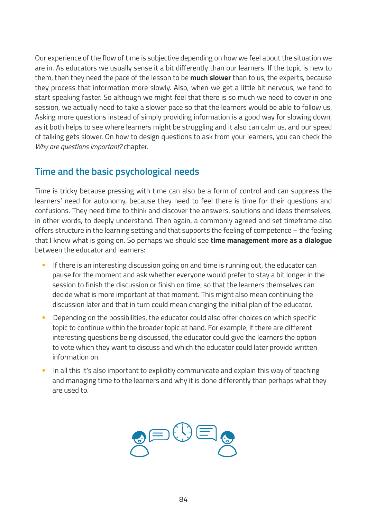Our experience of the flow of time is subjective depending on how we feel about the situation we are in. As educators we usually sense it a bit differently than our learners. If the topic is new to them, then they need the pace of the lesson to be **much slower** than to us, the experts, because they process that information more slowly. Also, when we get a little bit nervous, we tend to start speaking faster. So although we might feel that there is so much we need to cover in one session, we actually need to take a slower pace so that the learners would be able to follow us. Asking more questions instead of simply providing information is a good way for slowing down, as it both helps to see where learners might be struggling and it also can calm us, and our speed of talking gets slower. On how to design questions to ask from your learners, you can check the *Why are questions important?* chapter.

### **Time and the basic psychological needs**

Time is tricky because pressing with time can also be a form of control and can suppress the learners' need for autonomy, because they need to feel there is time for their questions and confusions. They need time to think and discover the answers, solutions and ideas themselves, in other words, to deeply understand. Then again, a commonly agreed and set timeframe also offers structure in the learning setting and that supports the feeling of competence – the feeling that I know what is going on. So perhaps we should see **time management more as a dialogue** between the educator and learners:

- If there is an interesting discussion going on and time is running out, the educator can pause for the moment and ask whether everyone would prefer to stay a bit longer in the session to finish the discussion or finish on time, so that the learners themselves can decide what is more important at that moment. This might also mean continuing the discussion later and that in turn could mean changing the initial plan of the educator.
- Depending on the possibilities, the educator could also offer choices on which specific topic to continue within the broader topic at hand. For example, if there are different interesting questions being discussed, the educator could give the learners the option to vote which they want to discuss and which the educator could later provide written information on.
- In all this it's also important to explicitly communicate and explain this way of teaching and managing time to the learners and why it is done differently than perhaps what they are used to.

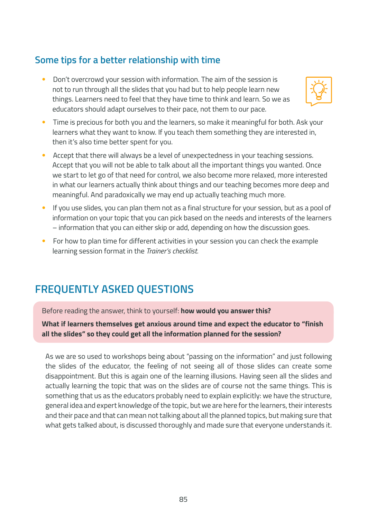#### **Some tips for a better relationship with time**

• Don't overcrowd your session with information. The aim of the session is not to run through all the slides that you had but to help people learn new things. Learners need to feel that they have time to think and learn. So we as educators should adapt ourselves to their pace, not them to our pace.



- Time is precious for both you and the learners, so make it meaningful for both. Ask your learners what they want to know. If you teach them something they are interested in, then it's also time better spent for you.
- Accept that there will always be a level of unexpectedness in your teaching sessions. Accept that you will not be able to talk about all the important things you wanted. Once we start to let go of that need for control, we also become more relaxed, more interested in what our learners actually think about things and our teaching becomes more deep and meaningful. And paradoxically we may end up actually teaching much more.
- If you use slides, you can plan them not as a final structure for your session, but as a pool of information on your topic that you can pick based on the needs and interests of the learners – information that you can either skip or add, depending on how the discussion goes.
- For how to plan time for different activities in your session you can check the example learning session format in the *Trainer's checklist.*

## **FREQUENTLY ASKED QUESTIONS**

Before reading the answer, think to yourself: **how would you answer this?**

**What if learners themselves get anxious around time and expect the educator to "finish all the slides" so they could get all the information planned for the session?**

As we are so used to workshops being about "passing on the information" and just following the slides of the educator, the feeling of not seeing all of those slides can create some disappointment. But this is again one of the learning illusions. Having seen all the slides and actually learning the topic that was on the slides are of course not the same things. This is something that us as the educators probably need to explain explicitly: we have the structure, general idea and expert knowledge of the topic, but we are here for the learners, their interests and their pace and that can mean not talking about all the planned topics, but making sure that what gets talked about, is discussed thoroughly and made sure that everyone understands it.